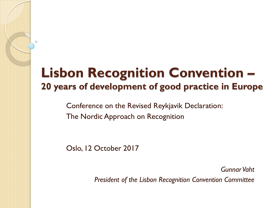#### **Lisbon Recognition Convention – 20 years of development of good practice in Europe**

Conference on the Revised Reykjavik Declaration: The Nordic Approach on Recognition

Oslo, 12 October 2017

Ō

*Gunnar Vaht President of the Lisbon Recognition Convention Committee*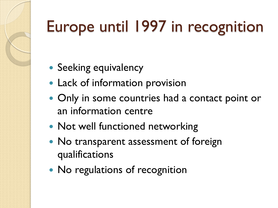# Europe until 1997 in recognition

- Seeking equivalency
- Lack of information provision
- Only in some countries had a contact point or an information centre
- Not well functioned networking
- No transparent assessment of foreign qualifications
- No regulations of recognition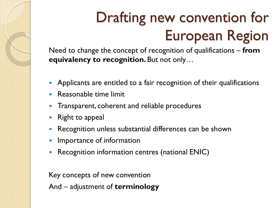## Drafting new convention for European Region

Need to change the concept of recognition of qualifications – **from equivalency to recognition.** But not only…

- Applicants are entitled to a fair recognition of their qualifications
- Reasonable time limit
- Transparent, coherent and reliable procedures
- Right to appeal
- Recognition unless substantial differences can be shown
- Importance of information
- Recognition information centres (national ENIC)

Key concepts of new convention

And – adjustment of **terminology**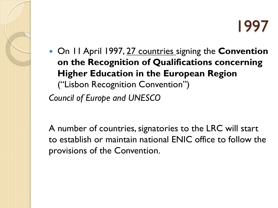On 11 April 1997, 27 countries signing the **Convention on the Recognition of Qualifications concerning Higher Education in the European Region**  ("Lisbon Recognition Convention") *Council of Europe and UNESCO*

A number of countries, signatories to the LRC will start to establish or maintain national ENIC office to follow the provisions of the Convention.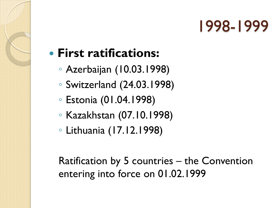#### **First ratifications:**

- Azerbaijan (10.03.1998)
- Switzerland (24.03.1998)
- Estonia (01.04.1998)
- Kazakhstan (07.10.1998)
- Lithuania (17.12.1998)

Ratification by 5 countries – the Convention entering into force on 01.02.1999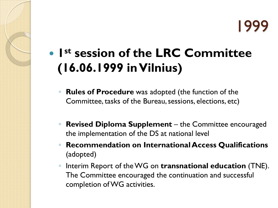**1st session of the LRC Committee (16.06.1999 in Vilnius)**

- **Rules of Procedure** was adopted (the function of the Committee, tasks of the Bureau, sessions, elections, etc)
- **Revised Diploma Supplement**  the Committee encouraged the implementation of the DS at national level
- **Recommendation on International Access Qualifications**  (adopted)
- Interim Report of the WG on **transnational education** (TNE). The Committee encouraged the continuation and successful completion of WG activities.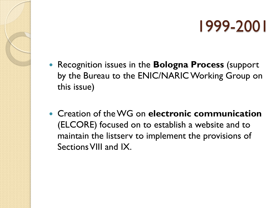- Recognition issues in the **Bologna Process** (support by the Bureau to the ENIC/NARIC Working Group on this issue)
- Creation of the WG on **electronic communication**  (ELCORE) focused on to establish a website and to maintain the listserv to implement the provisions of Sections VIII and IX.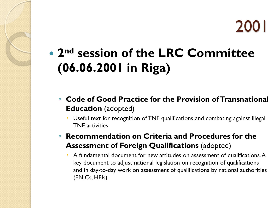### **2nd session of the LRC Committee (06.06.2001 in Riga)**

- **Code of Good Practice for the Provision of Transnational Education** (adopted)
	- Useful text for recognition of TNE qualifications and combating against illegal TNE activities
- **Recommendation on Criteria and Procedures for the Assessment of Foreign Qualifications** (adopted)
	- A fundamental document for new attitudes on assessment of qualifications. A key document to adjust national legislation on recognition of qualifications and in day-to-day work on assessment of qualifications by national authorities (ENICs, HEIs)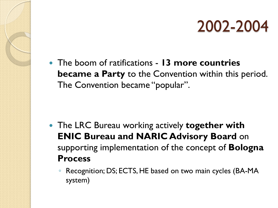The boom of ratifications - **13 more countries became a Party** to the Convention within this period. The Convention became "popular".

- The LRC Bureau working actively **together with ENIC Bureau and NARIC Advisory Board** on supporting implementation of the concept of **Bologna Process**
	- Recognition; DS; ECTS, HE based on two main cycles (BA-MA system)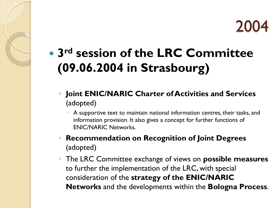

### **3rd session of the LRC Committee (09.06.2004 in Strasbourg)**

- **Joint ENIC/NARIC Charter of Activities and Services**  (adopted)
	- A supportive text to maintain national information centres, their tasks, and information provision. It also gives a concept for further functions of ENIC/NARIC Networks.
- **Recommendation on Recognition of Joint Degrees**  (adopted)
- The LRC Committee exchange of views on **possible measures**  to further the implementation of the LRC, with special consideration of the **strategy of the ENIC/NARIC Networks** and the developments within the **Bologna Process**.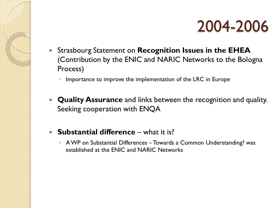

- Strasbourg Statement on **Recognition Issues in the EHEA**  (Contribution by the ENIC and NARIC Networks to the Bologna Process)
	- Importance to improve the implementation of the LRC in Europe
- **Quality Assurance** and links between the recognition and quality. Seeking cooperation with ENQA
- **Substantial difference** what it is?
	- A WP on Substantial Differences Towards a Common Understanding? was established at the ENIC and NARIC Networks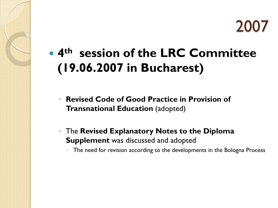### **4th session of the LRC Committee (19.06.2007 in Bucharest)**

- **Revised Code of Good Practice in Provision of Transnational Education** (adopted)
- The **Revised Explanatory Notes to the Diploma Supplement** was discussed and adopted
	- The need for revision according to the developments in the Bologna Process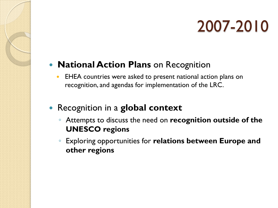#### **• National Action Plans** on Recognition

- **EHEA** countries were asked to present national action plans on recognition, and agendas for implementation of the LRC.
- Recognition in a **global context**
	- Attempts to discuss the need on **recognition outside of the UNESCO regions**
	- Exploring opportunities for **relations between Europe and other regions**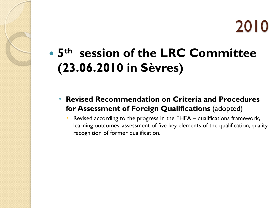### **5th session of the LRC Committee (23.06.2010 in Sèvres)**

◦ **Revised Recommendation on Criteria and Procedures for Assessment of Foreign Qualifications** (adopted)

 Revised according to the progress in the EHEA – qualifications framework, learning outcomes, assessment of five key elements of the qualification, quality, recognition of former qualification.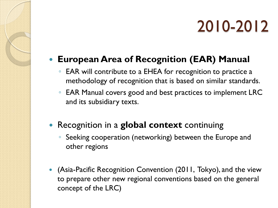#### **European Area of Recognition (EAR) Manual**

- EAR will contribute to a EHEA for recognition to practice a methodology of recognition that is based on similar standards.
- EAR Manual covers good and best practices to implement LRC and its subsidiary texts.
- Recognition in a **global context** continuing
	- Seeking cooperation (networking) between the Europe and other regions
- (Asia-Pacific Recognition Convention (2011, Tokyo), and the view to prepare other new regional conventions based on the general concept of the LRC)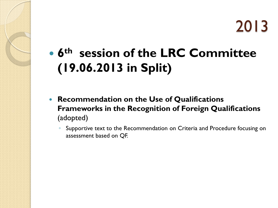### **6th session of the LRC Committee (19.06.2013 in Split)**

- **Recommendation on the Use of Qualifications Frameworks in the Recognition of Foreign Qualifications**  (adopted)
	- Supportive text to the Recommendation on Criteria and Procedure focusing on assessment based on QF.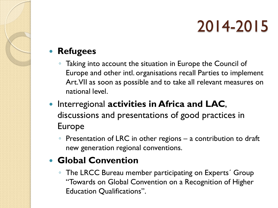#### **Refugees**

- Taking into account the situation in Europe the Council of Europe and other intl. organisations recall Parties to implement Art. VII as soon as possible and to take all relevant measures on national level.
- **Interregional activities in Africa and LAC,** discussions and presentations of good practices in Europe
	- Presentation of LRC in other regions a contribution to draft new generation regional conventions.

#### **Global Convention**

◦ The LRCC Bureau member participating on Experts´ Group "Towards on Global Convention on a Recognition of Higher Education Qualifications".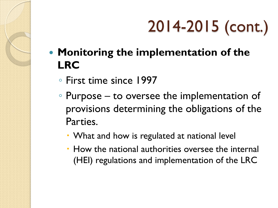# 2014-2015 (cont.)

- **Monitoring the implementation of the LRC**
	- First time since 1997
	- Purpose to oversee the implementation of provisions determining the obligations of the Parties.
		- What and how is regulated at national level
		- How the national authorities oversee the internal (HEI) regulations and implementation of the LRC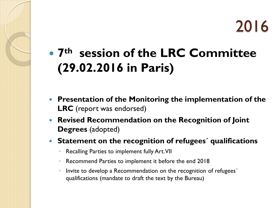**7th session of the LRC Committee (29.02.2016 in Paris)**

- **Presentation of the Monitoring the implementation of the LRC** (report was endorsed)
- **Revised Recommendation on the Recognition of Joint Degrees** (adopted)
- **Statement on the recognition of refugees´ qualifications** 
	- Recalling Parties to implement fully Art. VII
	- Recommend Parties to implement it before the end 2018
	- Invite to develop a Recommendation on the recognition of refugees´ qualifications (mandate to draft the text by the Bureau)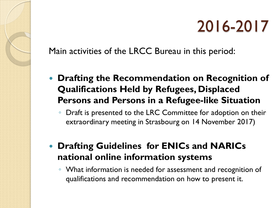Main activities of the LRCC Bureau in this period:

- **Drafting the Recommendation on Recognition of Qualifications Held by Refugees, Displaced Persons and Persons in a Refugee-like Situation**
	- Draft is presented to the LRC Committee for adoption on their extraordinary meeting in Strasbourg on 14 November 2017)
- **Drafting Guidelines for ENICs and NARICs national online information systems**
	- What information is needed for assessment and recognition of qualifications and recommendation on how to present it.